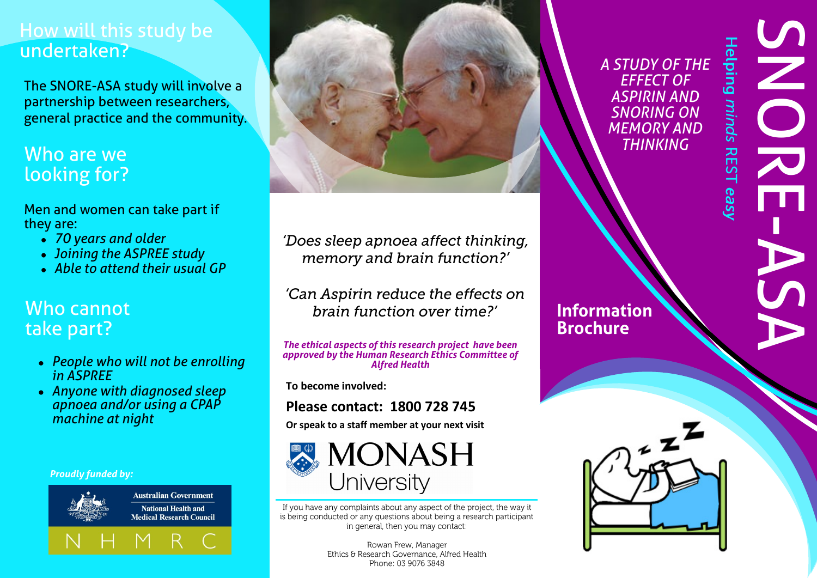# How will this study be undertaken?

The SNORE-ASA study will involve a partnership between researchers, general practice and the community.

# Who are we looking for?

Men and women can take part if they are:

- *70 years and older*
- *Joining the ASPREE study*
- *Able to attend their usual GP*

# Who cannot take part?

- *People who will not be enrolling in ASPREE*
- *Anyone with diagnosed sleep apnoea and/or using a CPAP machine at night*

*Proudly funded by:*



**Australian Government National Health and Medical Research Council** 





'Does sleep apnoea affect thinking, memory and brain function?'

'Can Aspirin reduce the effects on brain function over time?'

*The ethical aspects of this research project have been approved by the Human Research Ethics Committee of Alfred Health*

**To become involved:**

## **Please contact: 1800 728 745**

**Or speak to a staff member at your next visit**



If you have any complaints about any aspect of the project, the way it is being conducted or any questions about being a research participant in general, then you may contact:

> Rowan Frew, Manager Ethics & Research Governance, Alfred Health Phone: 03 9076 3848

*A STUDY OF THE EFFECT OF ASPIRIN AND SNORING ON MEMORY AND THINKING*

**SNORE** -ASA

**Helping minds REST easy** 



**Information** 

**Brochure**